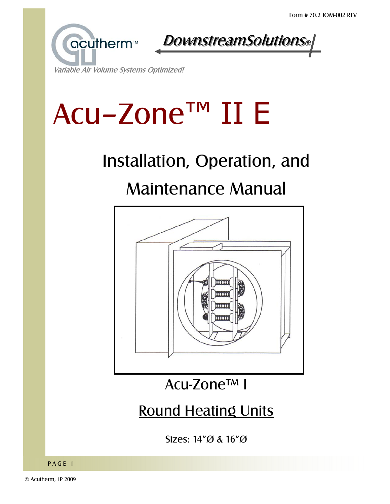



#### Variable Air Volume Systems Optimized!

# Acu-Zone™ II E

# Installation, Operation, and

# **Maintenance Manual**



### Acu-Zone™ I

## **Round Heating Units**

Sizes:  $14''\emptyset$  &  $16''\emptyset$ 

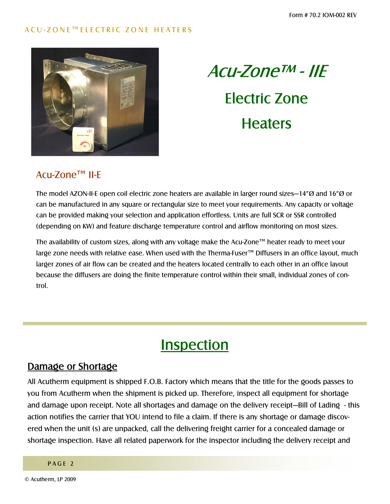

# $ACU-Zone^{TM}$  - IIE Electric Zone **Heaters**

#### $ACu-Zone<sup>TM</sup>$  II-E

The model AZON-II-E open coil electric zone heaters are available in larger round sizes–14<sup>n</sup> $\varnothing$  and 16<sup>n</sup> $\varnothing$  or can be manufactured in any square or rectangular size to meet your requirements. Any capacity or voltage can be provided making your selection and application effortless. Units are full SCR or SSR controlled (depending on KW) and feature discharge temperature control and airflow monitoring on most sizes.

The availability of custom sizes, along with any voltage make the Acu-Zone<sup> $TM$ </sup> heater ready to meet your large zone needs with relative ease. When used with the Therma-Fuser™ Diffusers in an office layout, much larger zones of air flow can be created and the heaters located centrally to each other in an office layout because the diffusers are doing the finite temperature control within their small, individual zones of control.

### **Inspection**

#### Damage or Shortage

All Acutherm equipment is shipped F.O.B. Factory which means that the title for the goods passes to you from Acutherm when the shipment is picked up. Therefore, inspect all equipment for shortage and damage upon receipt. Note all shortages and damage on the delivery receipt—Bill of Lading - this action notifies the carrier that YOU intend to file a claim. If there is any shortage or damage discovered when the unit (s) are unpacked, call the delivering freight carrier for a concealed damage or shortage inspection. Have all related paperwork for the inspector including the delivery receipt and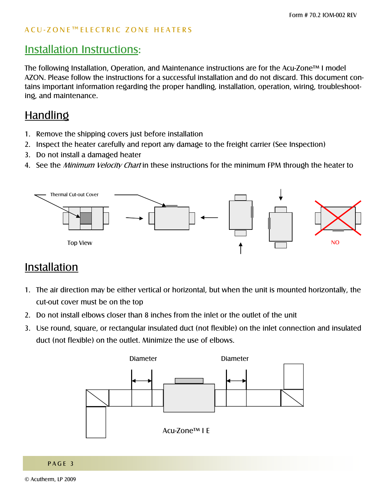### **Installation Instructions:**

The following Installation, Operation, and Maintenance instructions are for the Acu-Zone<sup>TM</sup> I model AZON. Please follow the instructions for a successful installation and do not discard. This document contains important information regarding the proper handling, installation, operation, wiring, troubleshooting, and maintenance.

### Handling

- 1. Remove the shipping covers just before installation
- 2. Inspect the heater carefully and report any damage to the freight carrier (See Inspection)
- 3. Do not install a damaged heater
- 4. See the *Minimum Velocity Chart* in these instructions for the minimum FPM through the heater to



### Installation

- 1. The air direction may be either vertical or horizontal, but when the unit is mounted horizontally, the cut-out cover must be on the top
- 2. Do not install elbows closer than 8 inches from the inlet or the outlet of the unit
- 3. Use round, square, or rectangular insulated duct (not flexible) on the inlet connection and insulated duct (not flexible) on the outlet. Minimize the use of elbows.

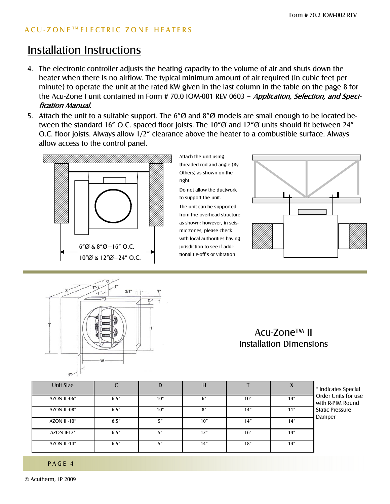#### ACU-ZONE™ELECTRIC ZONE HEATERS

### Installation Instructions

- 4. The electronic controller adjusts the heating capacity to the volume of air and shuts down the heater when there is no airflow. The typical minimum amount of air required (in cubic feet per minute) to operate the unit at the rated KW given in the last column in the table on the page 8 for the Acu-Zone I unit contained in Form # 70.0 IOM-001 REV 0603 - Application, Selection, and Specification Manual.
- 5. Attach the unit to a suitable support. The 6" $\varnothing$  and 8" $\varnothing$  models are small enough to be located between the standard 16" O.C. spaced floor joists. The 10" $\varnothing$  and 12" $\varnothing$  units should fit between 24" O.C. floor joists. Always allow 1/2" clearance above the heater to a combustible surface. Always allow access to the control panel.



Attach the unit using threaded rod and angle (By Others) as shown on the right.

Do not allow the ductwork to support the unit.

The unit can be supported from the overhead structure as shown; however, in seismic zones, please check with local authorities having jurisdiction to see if additional tie-off's or vibration





#### Acu-Zone<sup>™</sup> II Installation Dimensions

| Unit Size          |       |     |     |      |      | * Indicates Special                     |
|--------------------|-------|-----|-----|------|------|-----------------------------------------|
| AZON II-06*        | 6.5'' | 10" | 6'' | 10"  | 14"  | Order Units for use<br>with R-PIM Round |
| AZON II-08*        | 6.5'' | 10" | 8'' | 14"  | 11'' | <b>Static Pressure</b><br>Damper        |
| AZON II -10 $*$    | 6.5'' | 5"  | 10" | 14"  | 14"  |                                         |
| <b>AZON II-12*</b> | 6.5'' | 5″  | 12" | 16'' | 14"  |                                         |
| AZON II -14 $*$    | 6.5'' | 5″  | 14" | 18"  | 14"  |                                         |

PAGE 4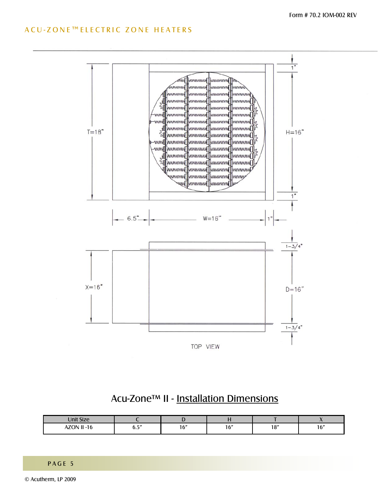#### ACU-ZONE™ELECTRIC ZONE HEATERS



#### Acu-Zone™ II - Installation Dimensions

| Unit Size                         |              |     |     |                         |     |
|-----------------------------------|--------------|-----|-----|-------------------------|-----|
| $\pm 11$ 16<br>1701<br>-16<br>A 1 | $-$ "<br>v.J | 16" | 16" | 10 <sup>''</sup><br>I O | 16" |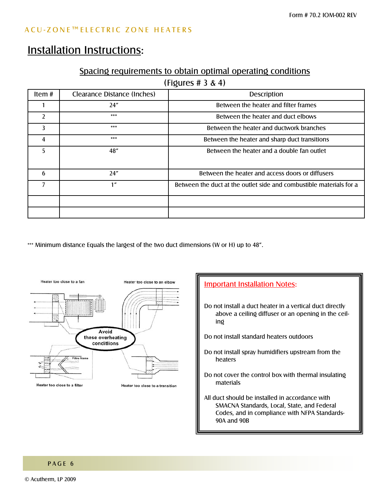### Installation Instructions:

#### Spacing requirements to obtain optimal operating conditions

(Figures # 3 & 4)

| Item $#$       | Clearance Distance (Inches) | <b>Description</b>                                                  |
|----------------|-----------------------------|---------------------------------------------------------------------|
|                | 24"                         | Between the heater and filter frames                                |
| $\mathfrak{p}$ | ***                         | Between the heater and duct elbows                                  |
| 3              | ***                         | Between the heater and ductwork branches                            |
| 4              | ***                         | Between the heater and sharp duct transitions                       |
| 5              | 48"                         | Between the heater and a double fan outlet                          |
| 6              | 24"                         | Between the heater and access doors or diffusers                    |
| 7              | 1 <sup>n</sup>              | Between the duct at the outlet side and combustible materials for a |
|                |                             |                                                                     |
|                |                             |                                                                     |

\*\*\* Minimum distance Equals the largest of the two duct dimensions (W or H) up to 48".



### **Important Installation Notes:** Do not install a duct heater in a vertical duct directly above a ceiling diffuser or an opening in the ceiling Do not install standard heaters outdoors Do not install spray humidifiers upstream from the heaters Do not cover the control box with thermal insulating materials All duct should be installed in accordance with SMACNA Standards, Local, State, and Federal Codes, and in compliance with NFPA Standards-90A and 90B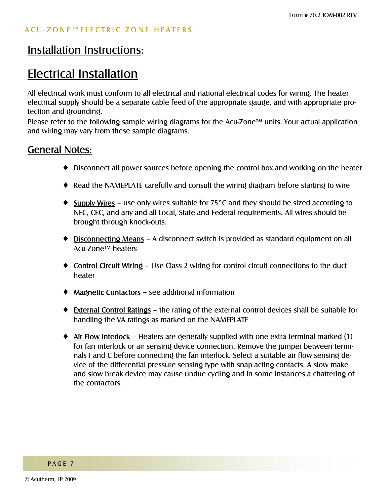### Electrical Installation

All electrical work must conform to all electrical and national electrical codes for wiring. The heater electrical supply should be a separate cable feed of the appropriate gauge, and with appropriate protection and grounding.

Please refer to the following sample wiring diagrams for the Acu-Zone<sup> $t$ M</sup> units. Your actual application and wiring may vary from these sample diagrams.

#### General Notes:

- ♦ Disconnect all power sources before opening the control box and working on the heater
- ♦ Read the NAMEPLATE carefully and consult the wiring diagram before starting to wire
- $\triangleq$  Supply Wires use only wires suitable for 75°C and they should be sized according to NEC, CEC, and any and all Local, State and Federal requirements. All wires should be brought through knock-outs.
- Disconnecting Means A disconnect switch is provided as standard equipment on all Acu-Zone<sup>™</sup> heaters
- Control Circuit Wiring Use Class 2 wiring for control circuit connections to the duct heater
- $\triangleleft$  Magnetic Contactors see additional information
- External Control Ratings the rating of the external control devices shall be suitable for handling the VA ratings as marked on the NAMEPLATE
- $\triangleq$  Air Flow Interlock Heaters are generally supplied with one extra terminal marked (1) for fan interlock or air sensing device connection. Remove the jumper between terminals I and C before connecting the fan interlock. Select a suitable air flow sensing device of the differential pressure sensing type with snap acting contacts. A slow make and slow break device may cause undue cycling and in some instances a chattering of the contactors.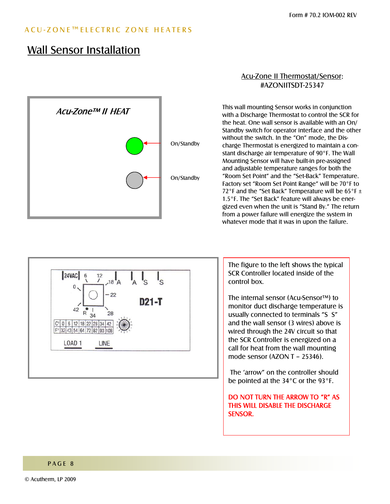#### ACU-ZONE™ELECTRIC ZONE HEATERS

### Wall Sensor Installation



#### Acu-Zone II Thermostat/Sensor: #AZONIITSDT-25347

This wall mounting Sensor works in conjunction with a Discharge Thermostat to control the SCR for the heat. One wall sensor is available with an On/ Standby switch for operator interface and the other without the switch. In the "On" mode, the Discharge Thermostat is energized to maintain a constant discharge air temperature of 90°F. The Wall Mounting Sensor will have built-in pre-assigned and adjustable temperature ranges for both the "Room Set Point" and the "Set-Back" Temperature. Factory set "Room Set Point Range" will be 70°F to 72°F and the "Set Back" Temperature will be  $65^{\circ}$ F ± 1.5°F. The "Set Back" feature will always be energized even when the unit is "Stand By." The return from a power failure will energize the system in whatever mode that it was in upon the failure.



The figure to the left shows the typical SCR Controller located inside of the control box.

The internal sensor (Acu-Sensor™) to monitor duct discharge temperature is usually connected to terminals "S S" and the wall sensor (3 wires) above is wired through the 24V circuit so that the SCR Controller is energized on a call for heat from the wall mounting mode sensor  $(AZONT - 25346)$ .

The 'arrow" on the controller should be pointed at the 34°C or the 93°F.

DO NOT TURN THE ARROW TO "R" AS THIS WILL DISABLE THE DISCHARGE SENSOR.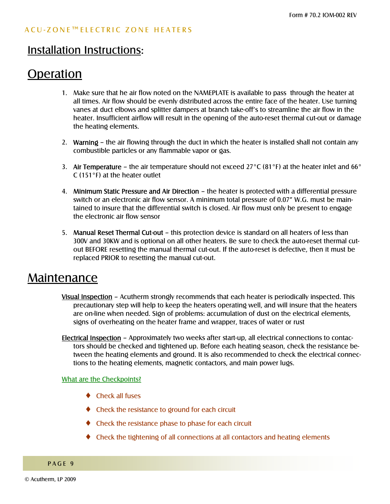### Operation

- 1. Make sure that he air flow noted on the NAMEPLATE is available to pass through the heater at all times. Air flow should be evenly distributed across the entire face of the heater. Use turning vanes at duct elbows and splitter dampers at branch take-off's to streamline the air flow in the heater. Insufficient airflow will result in the opening of the auto-reset thermal cut-out or damage the heating elements.
- 2. Warning  $\overline{a}$  the air flowing through the duct in which the heater is installed shall not contain any combustible particles or any flammable vapor or gas.
- 3. Air Temperature the air temperature should not exceed 27°C (81°F) at the heater inlet and 66° C (151°F) at the heater outlet
- 4. Minimum Static Pressure and Air Direction the heater is protected with a differential pressure switch or an electronic air flow sensor. A minimum total pressure of 0.07" W.G. must be maintained to insure that the differential switch is closed. Air flow must only be present to engage the electronic air flow sensor
- 5. Manual Reset Thermal Cut-out this protection device is standard on all heaters of less than 300V and 30KW and is optional on all other heaters. Be sure to check the auto-reset thermal cutout BEFORE resetting the manual thermal cut-out. If the auto-reset is defective, then it must be replaced PRIOR to resetting the manual cut-out.

### Maintenance

- Visual Inspection Acutherm strongly recommends that each heater is periodically inspected. This precautionary step will help to keep the heaters operating well, and will insure that the heaters are on-line when needed. Sign of problems: accumulation of dust on the electrical elements, signs of overheating on the heater frame and wrapper, traces of water or rust
- Electrical Inspection Approximately two weeks after start-up, all electrical connections to contactors should be checked and tightened up. Before each heating season, check the resistance between the heating elements and ground. It is also recommended to check the electrical connections to the heating elements, magnetic contactors, and main power lugs.

#### What are the Checkpoints?

- ♦ Check all fuses
- ♦ Check the resistance to ground for each circuit
- ♦ Check the resistance phase to phase for each circuit
- ♦ Check the tightening of all connections at all contactors and heating elements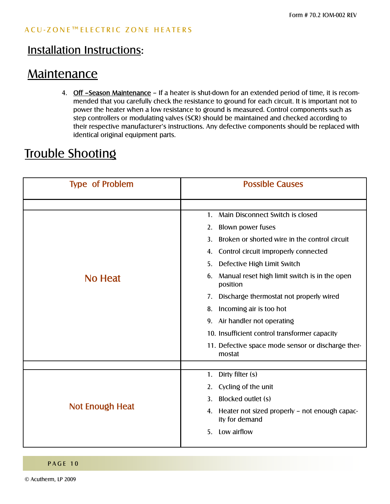### **Maintenance**

4. Off -Season Maintenance - If a heater is shut-down for an extended period of time, it is recommended that you carefully check the resistance to ground for each circuit. It is important not to power the heater when a low resistance to ground is measured. Control components such as step controllers or modulating valves (SCR) should be maintained and checked according to their respective manufacturer's instructions. Any defective components should be replaced with identical original equipment parts.

### Trouble Shooting

| <b>Type of Problem</b> | <b>Possible Causes</b>                                                |  |  |  |  |  |
|------------------------|-----------------------------------------------------------------------|--|--|--|--|--|
|                        |                                                                       |  |  |  |  |  |
|                        | Main Disconnect Switch is closed<br>1.                                |  |  |  |  |  |
|                        | <b>Blown power fuses</b><br>2.                                        |  |  |  |  |  |
|                        | Broken or shorted wire in the control circuit<br>3.                   |  |  |  |  |  |
|                        | Control circuit improperly connected<br>4.                            |  |  |  |  |  |
| <b>No Heat</b>         | Defective High Limit Switch<br>5.                                     |  |  |  |  |  |
|                        | Manual reset high limit switch is in the open<br>6.<br>position       |  |  |  |  |  |
|                        | Discharge thermostat not properly wired<br>7.                         |  |  |  |  |  |
|                        | Incoming air is too hot<br>8.                                         |  |  |  |  |  |
|                        | 9. Air handler not operating                                          |  |  |  |  |  |
|                        | 10. Insufficient control transformer capacity                         |  |  |  |  |  |
|                        | 11. Defective space mode sensor or discharge ther-<br>mostat          |  |  |  |  |  |
|                        |                                                                       |  |  |  |  |  |
|                        | Dirty filter (s)<br>1.                                                |  |  |  |  |  |
|                        | Cycling of the unit<br>2.                                             |  |  |  |  |  |
|                        | Blocked outlet (s)<br>3.                                              |  |  |  |  |  |
| Not Enough Heat        | Heater not sized properly - not enough capac-<br>4.<br>ity for demand |  |  |  |  |  |
|                        | Low airflow<br>5.                                                     |  |  |  |  |  |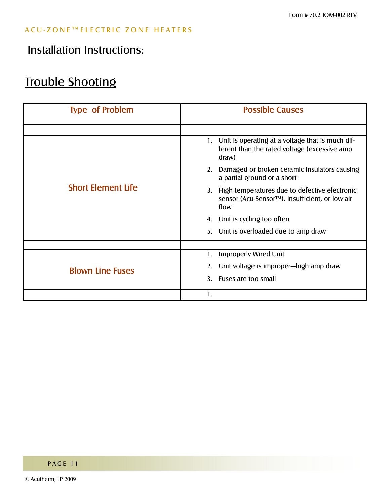### Installation Instructions:

### Trouble Shooting

| <b>Type of Problem</b>    | <b>Possible Causes</b>                                                                                        |  |  |  |
|---------------------------|---------------------------------------------------------------------------------------------------------------|--|--|--|
|                           |                                                                                                               |  |  |  |
|                           | 1. Unit is operating at a voltage that is much dif-<br>ferent than the rated voltage (excessive amp<br>draw)  |  |  |  |
|                           | Damaged or broken ceramic insulators causing<br>2.<br>a partial ground or a short                             |  |  |  |
| <b>Short Element Life</b> | High temperatures due to defective electronic<br>3.<br>sensor (Acu-Sensor™), insufficient, or low air<br>flow |  |  |  |
|                           | Unit is cycling too often<br>4.                                                                               |  |  |  |
|                           | Unit is overloaded due to amp draw<br>5.                                                                      |  |  |  |
|                           |                                                                                                               |  |  |  |
|                           | Improperly Wired Unit<br>1.                                                                                   |  |  |  |
| <b>Blown Line Fuses</b>   | Unit voltage is improper-high amp draw<br>2.                                                                  |  |  |  |
|                           | Fuses are too small<br>3.                                                                                     |  |  |  |
|                           | 1.                                                                                                            |  |  |  |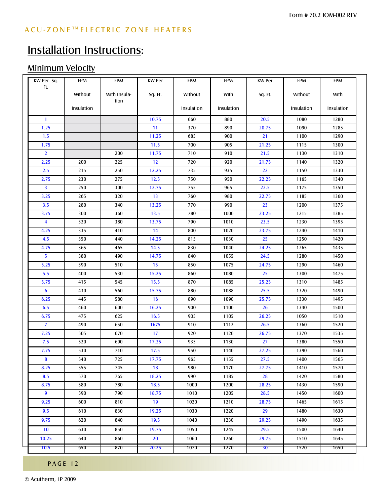### Minimum Velocity

| KW Per Sq.              | <b>FPM</b> | <b>FPM</b>           | <b>KW Per</b> | <b>FPM</b> | <b>FPM</b> | <b>KW Per</b>   | <b>FPM</b> | <b>FPM</b> |
|-------------------------|------------|----------------------|---------------|------------|------------|-----------------|------------|------------|
| Ft.                     | Without    | With Insula-<br>tion | Sq. Ft.       | Without    | With       | Sq. Ft.         | Without    | With       |
|                         | Insulation |                      |               | Insulation | Insulation |                 | Insulation | Insulation |
| $\mathbf{1}$            |            |                      | 10.75         | 660        | 880        | 20.5            | 1080       | 1280       |
| 1.25                    |            |                      | 11            | 370        | 890        | 20.75           | 1090       | 1285       |
| 1.5                     |            |                      | 11.25         | 685        | 900        | 21              | 1100       | 1290       |
| 1.75                    |            |                      | 11.5          | 700        | 905        | 21.25           | 1115       | 1300       |
| $\overline{2}$          |            | 200                  | 11.75         | 710        | 910        | 21.5            | 1130       | 1310       |
| 2.25                    | 200        | 225                  | 12            | 720        | 920        | 21.75           | 1140       | 1320       |
| 2.5                     | 215        | 250                  | 12.25         | 735        | 935        | 22              | 1150       | 1330       |
| 2.75                    | 230        | 275                  | 12.5          | 750        | 950        | 22.25           | 1165       | 1340       |
| $\overline{\mathbf{3}}$ | 250        | 300                  | 12.75         | 755        | 965        | 22.5            | 1175       | 1350       |
| 3.25                    | 265        | 320                  | 13            | 760        | 980        | 22.75           | 1185       | 1360       |
| 3.5                     | 280        | 340                  | 13.25         | 770        | 990        | 23              | 1200       | 1375       |
| 3.75                    | 300        | 360                  | 13.5          | 780        | 1000       | 23.25           | 1215       | 1385       |
| $\overline{\mathbf{4}}$ | 320        | 380                  | 13.75         | 790        | 1010       | 23.5            | 1230       | 1395       |
| 4.25                    | 335        | 410                  | 14            | 800        | 1020       | 23.75           | 1240       | 1410       |
| 4.5                     | 350        | 440                  | 14.25         | 815        | 1030       | 25              | 1250       | 1420       |
| 4.75                    | 365        | 465                  | 14.5          | 830        | 1040       | 24.25           | 1265       | 1435       |
| 5                       | 380        | 490                  | 14.75         | 840        | 1055       | 24.5            | 1280       | 1450       |
| 5.25                    | 390        | 510                  | 15            | 850        | 1075       | 24.75           | 1290       | 1460       |
| 5.5                     | 400        | 530                  | 15.25         | 860        | 1080       | 25              | 1300       | 1475       |
| 5.75                    | 415        | 545                  | 15.5          | 870        | 1085       | 25.25           | 1310       | 1485       |
| $6\phantom{1}6$         | 430        | 560                  | 15.75         | 880        | 1088       | 25.5            | 1320       | 1490       |
| 6.25                    | 445        | 580                  | 16            | 890        | 1090       | 25.75           | 1330       | 1495       |
| 6.5                     | 460        | 600                  | 16.25         | 900        | 1100       | 26              | 1340       | 1500       |
| 6.75                    | 475        | 625                  | 16.5          | 905        | 1105       | 26.25           | 1050       | 1510       |
| $\overline{7}$          | 490        | 650                  | 1675          | 910        | 1112       | 26.5            | 1360       | 1520       |
| 7.25                    | 505        | 670                  | 17            | 920        | 1120       | 26.75           | 1370       | 1535       |
| 7.5                     | 520        | 690                  | 17.25         | 935        | 1130       | 27              | 1380       | 1550       |
| 7.75                    | 530        | 710                  | 17.5          | 950        | 1140       | 27.25           | 1390       | 1560       |
| 8                       | 540        | 725                  | 17.75         | 965        | 1155       | 27.5            | 1400       | 1565       |
| 8.25                    | 555        | 745                  | 18            | 980        | 1170       | 27.75           | 1410       | 1570       |
| 8.5                     | 570        | 765                  | 18.25         | 990        | 1185       | 28              | 1420       | 1580       |
| 8.75                    | 580        | 780                  | 18.5          | 1000       | 1200       | 28.25           | 1430       | 1590       |
| 9                       | 590        | 790                  | 18.75         | 1010       | 1205       | 28.5            | 1450       | 1600       |
| 9.25                    | 600        | 810                  | 19            | 1020       | 1210       | 28.75           | 1465       | 1615       |
| 9.5                     | 610        | 830                  | 19.25         | 1030       | 1220       | 29              | 1480       | 1630       |
| 9.75                    | 620        | 840                  | 19.5          | 1040       | 1230       | 29.25           | 1490       | 1635       |
|                         |            |                      |               |            |            |                 |            |            |
| 10 <sup>°</sup>         | 630        | 850                  | 19.75         | 1050       | 1245       | 29.5            | 1500       | 1640       |
| 10.25                   | 640        | 860                  | 20            | 1060       | 1260       | 29.75           | 1510       | 1645       |
| 10.5                    | 650        | 870                  | 20.25         | 1070       | 1270       | 30 <sub>1</sub> | 1520       | 1650       |